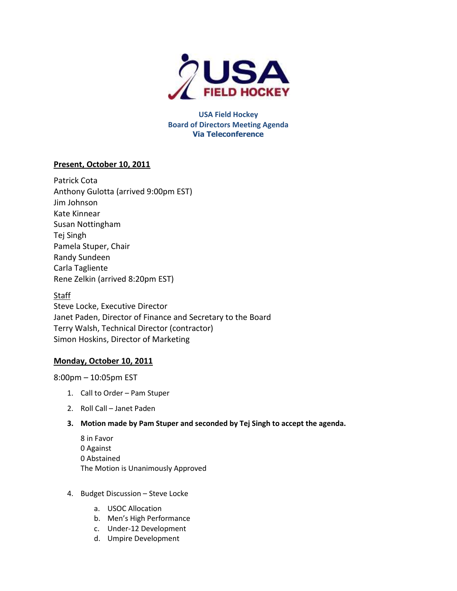

**USA Field Hockey Board of Directors Meeting Agenda Via Teleconference**

## **Present, October 10, 2011**

Patrick Cota Anthony Gulotta (arrived 9:00pm EST) Jim Johnson Kate Kinnear Susan Nottingham Tej Singh Pamela Stuper, Chair Randy Sundeen Carla Tagliente Rene Zelkin (arrived 8:20pm EST)

## **Staff**

Steve Locke, Executive Director Janet Paden, Director of Finance and Secretary to the Board Terry Walsh, Technical Director (contractor) Simon Hoskins, Director of Marketing

## **Monday, October 10, 2011**

8:00pm – 10:05pm EST

- 1. Call to Order Pam Stuper
- 2. Roll Call Janet Paden
- **3. Motion made by Pam Stuper and seconded by Tej Singh to accept the agenda.**

8 in Favor 0 Against 0 Abstained The Motion is Unanimously Approved

- 4. Budget Discussion Steve Locke
	- a. USOC Allocation
	- b. Men's High Performance
	- c. Under-12 Development
	- d. Umpire Development